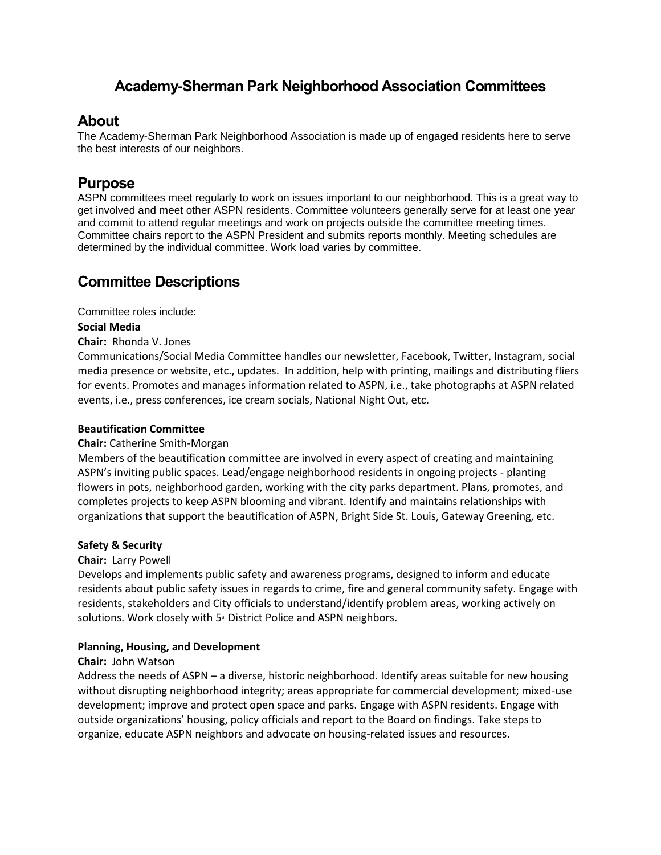# **Academy-Sherman Park Neighborhood Association Committees**

# **About**

The Academy-Sherman Park Neighborhood Association is made up of engaged residents here to serve the best interests of our neighbors.

## **Purpose**

ASPN committees meet regularly to work on issues important to our neighborhood. This is a great way to get involved and meet other ASPN residents. Committee volunteers generally serve for at least one year and commit to attend regular meetings and work on projects outside the committee meeting times. Committee chairs report to the ASPN President and submits reports monthly. Meeting schedules are determined by the individual committee. Work load varies by committee.

# **Committee Descriptions**

Committee roles include:

### **Social Media**

### **Chair:** Rhonda V. Jones

Communications/Social Media Committee handles our newsletter, Facebook, Twitter, Instagram, social media presence or website, etc., updates. In addition, help with printing, mailings and distributing fliers for events. Promotes and manages information related to ASPN, i.e., take photographs at ASPN related events, i.e., press conferences, ice cream socials, National Night Out, etc.

#### **Beautification Committee**

## **Chair:** Catherine Smith-Morgan

Members of the beautification committee are involved in every aspect of creating and maintaining ASPN's inviting public spaces. Lead/engage neighborhood residents in ongoing projects - planting flowers in pots, neighborhood garden, working with the city parks department. Plans, promotes, and completes projects to keep ASPN blooming and vibrant. Identify and maintains relationships with organizations that support the beautification of ASPN, Bright Side St. Louis, Gateway Greening, etc.

## **Safety & Security**

#### **Chair:** Larry Powell

Develops and implements public safety and awareness programs, designed to inform and educate residents about public safety issues in regards to crime, fire and general community safety. Engage with residents, stakeholders and City officials to understand/identify problem areas, working actively on solutions. Work closely with 5<sup>th</sup> District Police and ASPN neighbors.

## **Planning, Housing, and Development**

#### **Chair:** John Watson

Address the needs of ASPN – a diverse, historic neighborhood. Identify areas suitable for new housing without disrupting neighborhood integrity; areas appropriate for commercial development; mixed-use development; improve and protect open space and parks. Engage with ASPN residents. Engage with outside organizations' housing, policy officials and report to the Board on findings. Take steps to organize, educate ASPN neighbors and advocate on housing-related issues and resources.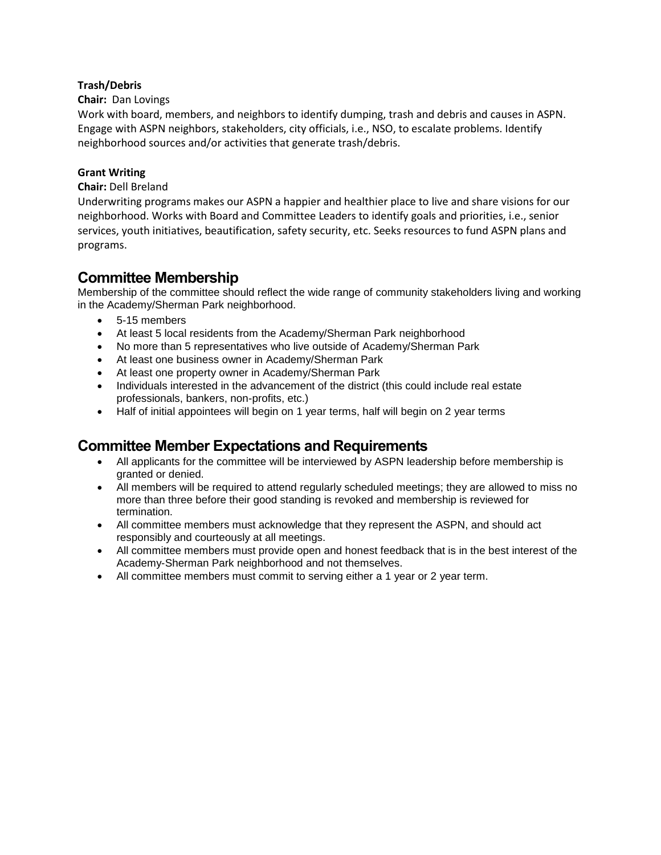## **Trash/Debris**

#### **Chair:** Dan Lovings

Work with board, members, and neighbors to identify dumping, trash and debris and causes in ASPN. Engage with ASPN neighbors, stakeholders, city officials, i.e., NSO, to escalate problems. Identify neighborhood sources and/or activities that generate trash/debris.

### **Grant Writing**

#### **Chair:** Dell Breland

Underwriting programs makes our ASPN a happier and healthier place to live and share visions for our neighborhood. Works with Board and Committee Leaders to identify goals and priorities, i.e., senior services, youth initiatives, beautification, safety security, etc. Seeks resources to fund ASPN plans and programs.

# **Committee Membership**

Membership of the committee should reflect the wide range of community stakeholders living and working in the Academy/Sherman Park neighborhood.

- 5-15 members
- At least 5 local residents from the Academy/Sherman Park neighborhood
- No more than 5 representatives who live outside of Academy/Sherman Park
- At least one business owner in Academy/Sherman Park
- At least one property owner in Academy/Sherman Park
- Individuals interested in the advancement of the district (this could include real estate professionals, bankers, non-profits, etc.)
- Half of initial appointees will begin on 1 year terms, half will begin on 2 year terms

## **Committee Member Expectations and Requirements**

- All applicants for the committee will be interviewed by ASPN leadership before membership is granted or denied.
- All members will be required to attend regularly scheduled meetings; they are allowed to miss no more than three before their good standing is revoked and membership is reviewed for termination.
- All committee members must acknowledge that they represent the ASPN, and should act responsibly and courteously at all meetings.
- All committee members must provide open and honest feedback that is in the best interest of the Academy-Sherman Park neighborhood and not themselves.
- All committee members must commit to serving either a 1 year or 2 year term.